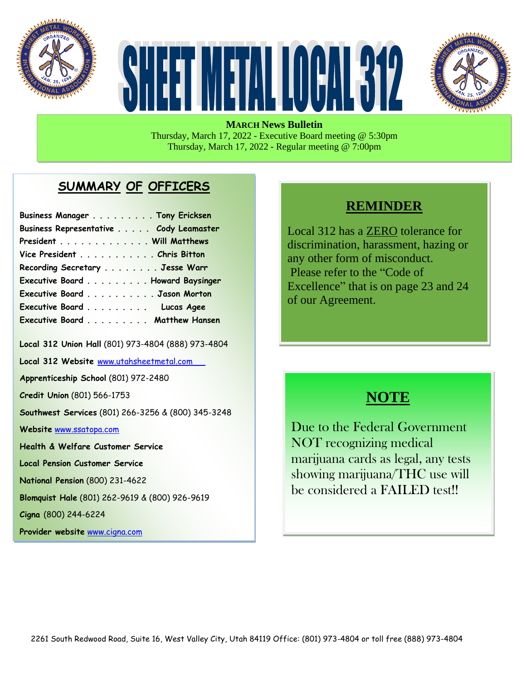





**MARCH News Bulletin** Thursday, March 17, 2022 - Executive Board meeting @ 5:30pm Thursday, March 17, 2022 - Regular meeting @ 7:00pm

#### **SUMMARY OF OFFICERS**

| Business Manager Tony Ericksen         |  |
|----------------------------------------|--|
| Business Representative Cody Leamaster |  |
| President Will Matthews                |  |
| Vice President Chris Bitton            |  |
| Recording Secretary Jesse Warr         |  |
| Executive Board Howard Baysinger       |  |
| Executive Board Jason Morton           |  |
| Executive Board Lucas Agee             |  |
| Executive Board Matthew Hansen         |  |

**Local 312 Union Hall** (801) 973-4804 (888) 973-4804

**Local 312 Website** [www.utahsheetmetal.com](http://www.utahsheetmetal.com/)

**Apprenticeship School** (801) 972-2480

**Credit Union** (801) 566-1753

**Southwest Services** (801) 266-3256 & (800) 345-3248

**Website** [www.ssatopa.com](http://www.ssatopa.com/)

**Health & Welfare Customer Service**

**Local Pension Customer Service**

**National Pension** (800) 231-4622

**Blomquist Hale** (801) 262-9619 & (800) 926-9619

**Cigna** (800) 244-6224

**Provider website** [www.cigna.com](http://www.cigna.com/)

#### **REMINDER**

Local 312 has a ZERO tolerance for discrimination, harassment, hazing or any other form of misconduct. Please refer to the "Code of Excellence" that is on page 23 and 24 of our Agreement.

## **NOTE**

Due to the Federal Government NOT recognizing medical marijuana cards as legal, any tests showing marijuana/THC use will be considered a FAILED test!!